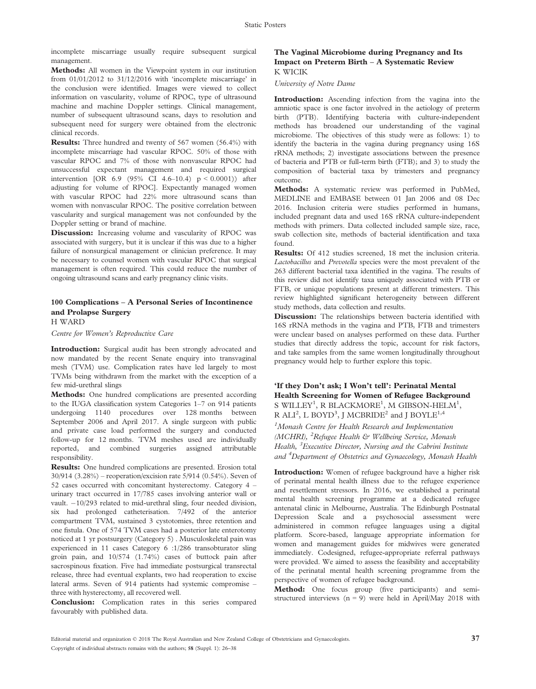incomplete miscarriage usually require subsequent surgical management.

Methods: All women in the Viewpoint system in our institution from 01/01/2012 to 31/12/2016 with 'incomplete miscarriage' in the conclusion were identified. Images were viewed to collect information on vascularity, volume of RPOC, type of ultrasound machine and machine Doppler settings. Clinical management, number of subsequent ultrasound scans, days to resolution and subsequent need for surgery were obtained from the electronic clinical records.

Results: Three hundred and twenty of 567 women (56.4%) with incomplete miscarriage had vascular RPOC. 50% of those with vascular RPOC and 7% of those with nonvascular RPOC had unsuccessful expectant management and required surgical intervention [OR 6.9 (95% CI 4.6–10.4) p < 0.0001)) after adjusting for volume of RPOC]. Expectantly managed women with vascular RPOC had 22% more ultrasound scans than women with nonvascular RPOC. The positive correlation between vascularity and surgical management was not confounded by the Doppler setting or brand of machine.

Discussion: Increasing volume and vascularity of RPOC was associated with surgery, but it is unclear if this was due to a higher failure of nonsurgical management or clinician preference. It may be necessary to counsel women with vascular RPOC that surgical management is often required. This could reduce the number of ongoing ultrasound scans and early pregnancy clinic visits.

# 100 Complications – A Personal Series of Incontinence and Prolapse Surgery

H WARD

Centre for Women's Reproductive Care

Introduction: Surgical audit has been strongly advocated and now mandated by the recent Senate enquiry into transvaginal mesh (TVM) use. Complication rates have led largely to most TVMs being withdrawn from the market with the exception of a few mid-urethral slings

Methods: One hundred complications are presented according to the IUGA classification system Categories 1–7 on 914 patients undergoing 1140 procedures over 128 months between September 2006 and April 2017. A single surgeon with public and private case load performed the surgery and conducted follow-up for 12 months. TVM meshes used are individually reported, and combined surgeries assigned attributable responsibility.

Results: One hundred complications are presented. Erosion total 30/914 (3.28%) – reoperation/excision rate 5/914 (0.54%). Seven of 52 cases occurred with concomitant hysterectomy. Category 4 – urinary tract occurred in 17/785 cases involving anterior wall or vault.  $-10/293$  related to mid-urethral sling, four needed division, six had prolonged catheterisation. 7/492 of the anterior compartment TVM, sustained 3 cystotomies, three retention and one fistula. One of 574 TVM cases had a posterior late enterotomy noticed at 1 yr postsurgery (Category 5) . Musculoskeletal pain was experienced in 11 cases Category 6 :1/286 transobturator sling groin pain, and 10/574 (1.74%) cases of buttock pain after sacrospinous fixation. Five had immediate postsurgical transrectal release, three had eventual explants, two had reoperation to excise lateral arms. Seven of 914 patients had systemic compromise – three with hysterectomy, all recovered well.

Conclusion: Complication rates in this series compared favourably with published data.

#### The Vaginal Microbiome during Pregnancy and Its Impact on Preterm Birth – A Systematic Review K WICIK

University of Notre Dame

Introduction: Ascending infection from the vagina into the amniotic space is one factor involved in the aetiology of preterm birth (PTB). Identifying bacteria with culture-independent methods has broadened our understanding of the vaginal microbiome. The objectives of this study were as follows: 1) to identify the bacteria in the vagina during pregnancy using 16S rRNA methods; 2) investigate associations between the presence of bacteria and PTB or full-term birth (FTB); and 3) to study the composition of bacterial taxa by trimesters and pregnancy outcome.

Methods: A systematic review was performed in PubMed, MEDLINE and EMBASE between 01 Jan 2006 and 08 Dec 2016. Inclusion criteria were studies performed in humans, included pregnant data and used 16S rRNA culture-independent methods with primers. Data collected included sample size, race, swab collection site, methods of bacterial identification and taxa found.

Results: Of 412 studies screened, 18 met the inclusion criteria. Lactobacillus and Prevotella species were the most prevalent of the 263 different bacterial taxa identified in the vagina. The results of this review did not identify taxa uniquely associated with PTB or FTB, or unique populations present at different trimesters. This review highlighted significant heterogeneity between different study methods, data collection and results.

Discussion: The relationships between bacteria identified with 16S rRNA methods in the vagina and PTB, FTB and trimesters were unclear based on analyses performed on these data. Further studies that directly address the topic, account for risk factors, and take samples from the same women longitudinally throughout pregnancy would help to further explore this topic.

## 'If they Don't ask; I Won't tell': Perinatal Mental Health Screening for Women of Refugee Background S WILLEY<sup>1</sup>, R BLACKMORE<sup>1</sup>, M GIBSON-HELM<sup>1</sup>, R ALI<sup>2</sup>, L BOYD<sup>3</sup>, J MCBRIDE<sup>2</sup> and J BOYLE<sup>1,4</sup>

<sup>1</sup> Monash Centre for Health Research and Implementation (MCHRI), <sup>2</sup>Refugee Health & Wellbeing Service, Monash Health, <sup>3</sup> Executive Director, Nursing and the Cabrini Institute and <sup>4</sup>Department of Obstetrics and Gynaecology, Monash Health

Introduction: Women of refugee background have a higher risk of perinatal mental health illness due to the refugee experience and resettlement stressors. In 2016, we established a perinatal mental health screening programme at a dedicated refugee antenatal clinic in Melbourne, Australia. The Edinburgh Postnatal Depression Scale and a psychosocial assessment were administered in common refugee languages using a digital platform. Score-based, language appropriate information for women and management guides for midwives were generated immediately. Codesigned, refugee-appropriate referral pathways were provided. We aimed to assess the feasibility and acceptability of the perinatal mental health screening programme from the perspective of women of refugee background.

Method: One focus group (five participants) and semistructured interviews  $(n = 9)$  were held in April/May 2018 with